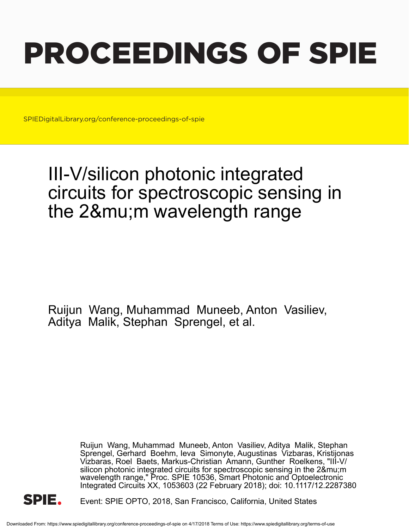# PROCEEDINGS OF SPIE

SPIEDigitalLibrary.org/conference-proceedings-of-spie

## III-V/silicon photonic integrated circuits for spectroscopic sensing in the 2μ m wavelength range

Ruijun Wang, Muhammad Muneeb, Anton Vasiliev, Aditya Malik, Stephan Sprengel, et al.

> Ruijun Wang, Muhammad Muneeb, Anton Vasiliev, Aditya Malik, Stephan Sprengel, Gerhard Boehm, Ieva Simonyte, Augustinas Vizbaras, Kristijonas Vizbaras, Roel Baets, Markus-Christian Amann, Gunther Roelkens, "III-V/ silicon photonic integrated circuits for spectroscopic sensing in the 2μm wavelength range," Proc. SPIE 10536, Smart Photonic and Optoelectronic Integrated Circuits XX, 1053603 (22 February 2018); doi: 10.1117/12.2287380



Event: SPIE OPTO, 2018, San Francisco, California, United States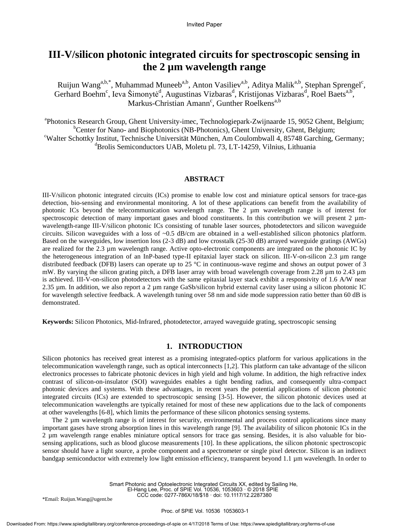### **III-V/silicon photonic integrated circuits for spectroscopic sensing in the 2 µm wavelength range**

Ruijun Wang<sup>a,b,\*</sup>, Muhammad Muneeb<sup>a,b</sup>, Anton Vasiliev<sup>a,b</sup>, Aditya Malik<sup>a,b</sup>, Stephan Sprengel<sup>c</sup>, Gerhard Boehm<sup>c</sup>, Ieva Šimonytė<sup>d</sup>, Augustinas Vizbaras<sup>d</sup>, Kristijonas Vizbaras<sup>d</sup>, Roel Baets<sup>a,b</sup>, Markus-Christian Amann<sup>c</sup>, Gunther Roelkens<sup>a,b</sup>

a Photonics Research Group, Ghent University-imec, Technologiepark-Zwijnaarde 15, 9052 Ghent, Belgium; <sup>b</sup>Center for Nano- and Biophotonics (NB-Photonics), Ghent University, Ghent, Belgium; <sup>c</sup>Walter Schottky Institut, Technische Universität München, Am Coulombwall 4, 85748 Garching, Germany; <sup>d</sup>Brolis Semiconductors UAB, Moletu pl. 73, LT-14259, Vilnius, Lithuania

#### **ABSTRACT**

III-V/silicon photonic integrated circuits (ICs) promise to enable low cost and miniature optical sensors for trace-gas detection, bio-sensing and environmental monitoring. A lot of these applications can benefit from the availability of photonic ICs beyond the telecommunication wavelength range. The 2 µm wavelength range is of interest for spectroscopic detection of many important gases and blood constituents. In this contribution we will present  $2 \mu m$ wavelength-range III-V/silicon photonic ICs consisting of tunable laser sources, photodetectors and silicon waveguide circuits. Silicon waveguides with a loss of  $\sim 0.5$  dB/cm are obtained in a well-established silicon photonics platform. Based on the waveguides, low insertion loss (2-3 dB) and low crosstalk (25-30 dB) arrayed waveguide gratings (AWGs) are realized for the 2.3 µm wavelength range. Active opto-electronic components are integrated on the photonic IC by the heterogeneous integration of an InP-based type-II epitaxial layer stack on silicon. III-V-on-silicon 2.3 µm range distributed feedback (DFB) lasers can operate up to 25  $\degree$  C in continuous-wave regime and shows an output power of 3 mW. By varying the silicon grating pitch, a DFB laser array with broad wavelength coverage from 2.28  $\mu$ m to 2.43  $\mu$ m is achieved. III-V-on-silicon photodetectors with the same epitaxial layer stack exhibit a responsivity of 1.6 A/W near 2.35 µm. In addition, we also report a 2 µm range GaSb/silicon hybrid external cavity laser using a silicon photonic IC for wavelength selective feedback. A wavelength tuning over 58 nm and side mode suppression ratio better than 60 dB is demonstrated.

**Keywords:** Silicon Photonics, Mid-Infrared, photodetector, arrayed waveguide grating, spectroscopic sensing

#### **1. INTRODUCTION**

Silicon photonics has received great interest as a promising integrated-optics platform for various applications in the telecommunication wavelength range, such as optical interconnects [1,2]. This platform can take advantage of the silicon electronics processes to fabricate photonic devices in high yield and high volume. In addition, the high refractive index contrast of silicon-on-insulator (SOI) waveguides enables a tight bending radius, and consequently ultra-compact photonic devices and systems. With these advantages, in recent years the potential applications of silicon photonic integrated circuits (ICs) are extended to spectroscopic sensing [3-5]. However, the silicon photonic devices used at telecommunication wavelengths are typically retained for most of these new applications due to the lack of components at other wavelengths [6-8], which limits the performance of these silicon photonics sensing systems.

The 2 µm wavelength range is of interest for security, environmental and process control applications since many important gases have strong absorption lines in this wavelength range [9]. The availability of silicon photonic ICs in the 2 µm wavelength range enables miniature optical sensors for trace gas sensing. Besides, it is also valuable for biosensing applications, such as blood glucose measurements [10]. In these applications, the silicon photonic spectroscopic sensor should have a light source, a probe component and a spectrometer or single pixel detector. Silicon is an indirect bandgap semiconductor with extremely low light emission efficiency, transparent beyond 1.1 µm wavelength. In order to

> Smart Photonic and Optoelectronic Integrated Circuits XX, edited by Sailing He, El-Hang Lee, Proc. of SPIE Vol. 10536, 1053603  $\cdot$  © 2018 SPIE CCC code: 0277-786X/18/\$18 · doi: 10.1117/12.2287380

\*Email: Ruijun.Wang@ugent.be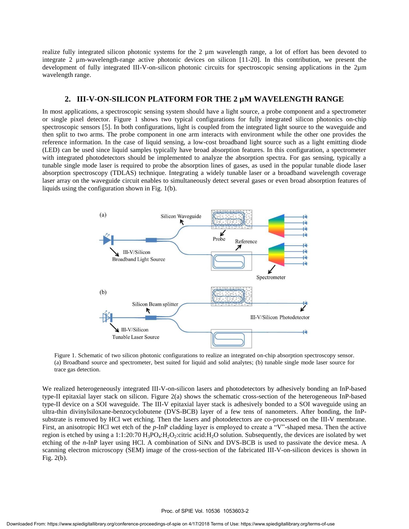realize fully integrated silicon photonic systems for the 2 µm wavelength range, a lot of effort has been devoted to integrate 2 µm-wavelength-range active photonic devices on silicon [11-20]. In this contribution, we present the development of fully integrated III-V-on-silicon photonic circuits for spectroscopic sensing applications in the 2µm wavelength range.

#### **2. III-V-ON-SILICON PLATFORM FOR THE 2 µM WAVELENGTH RANGE**

In most applications, a spectroscopic sensing system should have a light source, a probe component and a spectrometer or single pixel detector. Figure 1 shows two typical configurations for fully integrated silicon photonics on-chip spectroscopic sensors [5]. In both configurations, light is coupled from the integrated light source to the waveguide and then split to two arms. The probe component in one arm interacts with environment while the other one provides the reference information. In the case of liquid sensing, a low-cost broadband light source such as a light emitting diode (LED) can be used since liquid samples typically have broad absorption features. In this configuration, a spectrometer with integrated photodetectors should be implemented to analyze the absorption spectra. For gas sensing, typically a tunable single mode laser is required to probe the absorption lines of gases, as used in the popular tunable diode laser absorption spectroscopy (TDLAS) technique. Integrating a widely tunable laser or a broadband wavelength coverage laser array on the waveguide circuit enables to simultaneously detect several gases or even broad absorption features of liquids using the configuration shown in Fig. 1(b).



Figure 1. Schematic of two silicon photonic configurations to realize an integrated on-chip absorption spectroscopy sensor. (a) Broadband source and spectrometer, best suited for liquid and solid analytes; (b) tunable single mode laser source for trace gas detection.

We realized heterogeneously integrated III-V-on-silicon lasers and photodetectors by adhesively bonding an InP-based type-II epitaxial layer stack on silicon. Figure 2(a) shows the schematic cross-section of the heterogeneous InP-based type-II device on a SOI waveguide. The III-V epitaxial layer stack is adhesively bonded to a SOI waveguide using an ultra-thin divinylsiloxane-benzocyclobutene (DVS-BCB) layer of a few tens of nanometers. After bonding, the InPsubstrate is removed by HCl wet etching. Then the lasers and photodetectors are co-processed on the III-V membrane. First, an anisotropic HCl wet etch of the *p*-InP cladding layer is employed to create a "V"-shaped mesa. Then the active region is etched by using a 1:1:20:70 H<sub>3</sub>PO<sub>4</sub>:H<sub>2</sub>O<sub>2</sub>:citric acid:H<sub>2</sub>O solution. Subsequently, the devices are isolated by wet etching of the *n*-InP layer using HCl. A combination of SiNx and DVS-BCB is used to passivate the device mesa. A scanning electron microscopy (SEM) image of the cross-section of the fabricated III-V-on-silicon devices is shown in Fig. 2(b).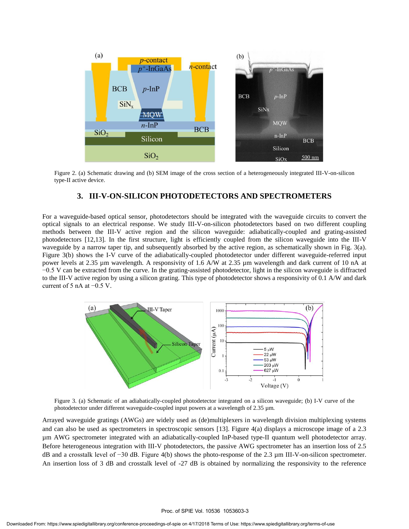

Figure 2. (a) Schematic drawing and (b) SEM image of the cross section of a heterogeneously integrated III-V-on-silicon type-II active device.

#### **3. III-V-ON-SILICON PHOTODETECTORS AND SPECTROMETERS**

For a waveguide-based optical sensor, photodetectors should be integrated with the waveguide circuits to convert the optical signals to an electrical response. We study III-V-on-silicon photodetectors based on two different coupling methods between the III-V active region and the silicon waveguide: adiabatically-coupled and grating-assisted photodetectors [12,13]. In the first structure, light is efficiently coupled from the silicon waveguide into the III-V waveguide by a narrow taper tip, and subsequently absorbed by the active region, as schematically shown in Fig. 3(a). Figure 3(b) shows the I-V curve of the adiabatically-coupled photodetector under different waveguide-referred input power levels at 2.35 µm wavelength. A responsivity of 1.6 A/W at 2.35 µm wavelength and dark current of 10 nA at −0.5 V can be extracted from the curve. In the grating-assisted photodetector, light in the silicon waveguide is diffracted to the III-V active region by using a silicon grating. This type of photodetector shows a responsivity of 0.1 A/W and dark current of 5 nA at −0.5 V.



Figure 3. (a) Schematic of an adiabatically-coupled photodetector integrated on a silicon waveguide; (b) I-V curve of the photodetector under different waveguide-coupled input powers at a wavelength of 2.35 µm.

Arrayed waveguide gratings (AWGs) are widely used as (de)multiplexers in wavelength division multiplexing systems and can also be used as spectrometers in spectroscopic sensors [13]. Figure 4(a) displays a microscope image of a 2.3 µm AWG spectrometer integrated with an adiabatically-coupled InP-based type-II quantum well photodetector array. Before heterogeneous integration with III-V photodetectors, the passive AWG spectrometer has an insertion loss of 2.5 dB and a crosstalk level of −30 dB. Figure 4(b) shows the photo-response of the 2.3 µm III-V-on-silicon spectrometer. An insertion loss of 3 dB and crosstalk level of -27 dB is obtained by normalizing the responsivity to the reference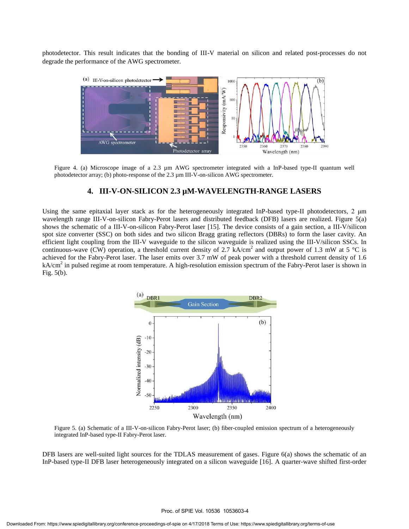photodetector. This result indicates that the bonding of III-V material on silicon and related post-processes do not degrade the performance of the AWG spectrometer.



Figure 4. (a) Microscope image of a 2.3 µm AWG spectrometer integrated with a InP-based type-II quantum well photodetector array; (b) photo-response of the 2.3 µm III-V-on-silicon AWG spectrometer.

#### **4. III-V-ON-SILICON 2.3 µM-WAVELENGTH-RANGE LASERS**

Using the same epitaxial layer stack as for the heterogeneously integrated InP-based type-II photodetectors, 2  $\mu$ m wavelength range III-V-on-silicon Fabry-Perot lasers and distributed feedback (DFB) lasers are realized. Figure 5(a) shows the schematic of a III-V-on-silicon Fabry-Perot laser [15]. The device consists of a gain section, a III-V/silicon spot size converter (SSC) on both sides and two silicon Bragg grating reflectors (DBRs) to form the laser cavity. An efficient light coupling from the III-V waveguide to the silicon waveguide is realized using the III-V/silicon SSCs. In continuous-wave (CW) operation, a threshold current density of 2.7 kA/cm<sup>2</sup> and output power of 1.3 mW at 5 °C is achieved for the Fabry-Perot laser. The laser emits over 3.7 mW of peak power with a threshold current density of 1.6 kA/cm<sup>2</sup> in pulsed regime at room temperature. A high-resolution emission spectrum of the Fabry-Perot laser is shown in Fig. 5(b).



Figure 5. (a) Schematic of a III-V-on-silicon Fabry-Perot laser; (b) fiber-coupled emission spectrum of a heterogeneously integrated InP-based type-II Fabry-Perot laser.

DFB lasers are well-suited light sources for the TDLAS measurement of gases. Figure 6(a) shows the schematic of an InP-based type-II DFB laser heterogeneously integrated on a silicon waveguide [16]. A quarter-wave shifted first-order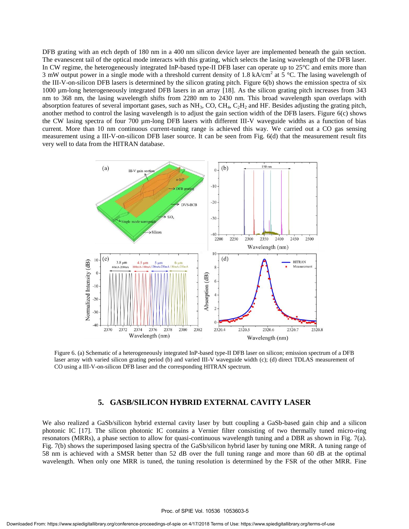DFB grating with an etch depth of 180 nm in a 400 nm silicon device layer are implemented beneath the gain section. The evanescent tail of the optical mode interacts with this grating, which selects the lasing wavelength of the DFB laser. In CW regime, the heterogeneously integrated InP-based type-II DFB laser can operate up to  $25 \, \text{°C}$  and emits more than 3 mW output power in a single mode with a threshold current density of 1.8 kA/cm<sup>2</sup> at 5 °C. The lasing wavelength of the III-V-on-silicon DFB lasers is determined by the silicon grating pitch. Figure 6(b) shows the emission spectra of six 1000 µm-long heterogeneously integrated DFB lasers in an array [18]. As the silicon grating pitch increases from 343 nm to 368 nm, the lasing wavelength shifts from 2280 nm to 2430 nm. This broad wavelength span overlaps with absorption features of several important gases, such as  $NH_3$ , CO, CH<sub>4</sub>, C<sub>2</sub>H<sub>2</sub> and HF. Besides adjusting the grating pitch, another method to control the lasing wavelength is to adjust the gain section width of the DFB lasers. Figure 6(c) shows the CW lasing spectra of four 700 µm-long DFB lasers with different III-V waveguide widths as a function of bias current. More than 10 nm continuous current-tuning range is achieved this way. We carried out a CO gas sensing measurement using a III-V-on-silicon DFB laser source. It can be seen from Fig. 6(d) that the measurement result fits very well to data from the HITRAN database.



Figure 6. (a) Schematic of a heterogeneously integrated InP-based type-II DFB laser on silicon; emission spectrum of a DFB laser array with varied silicon grating period (b) and varied III-V waveguide width (c); (d) direct TDLAS measurement of CO using a III-V-on-silicon DFB laser and the corresponding HITRAN spectrum.

#### **5. GASB/SILICON HYBRID EXTERNAL CAVITY LASER**

We also realized a GaSb/silicon hybrid external cavity laser by butt coupling a GaSb-based gain chip and a silicon photonic IC [17]. The silicon photonic IC contains a Vernier filter consisting of two thermally tuned micro-ring resonators (MRRs), a phase section to allow for quasi-continuous wavelength tuning and a DBR as shown in Fig. 7(a). Fig. 7(b) shows the superimposed lasing spectra of the GaSb/silicon hybrid laser by tuning one MRR. A tuning range of 58 nm is achieved with a SMSR better than 52 dB over the full tuning range and more than 60 dB at the optimal wavelength. When only one MRR is tuned, the tuning resolution is determined by the FSR of the other MRR. Fine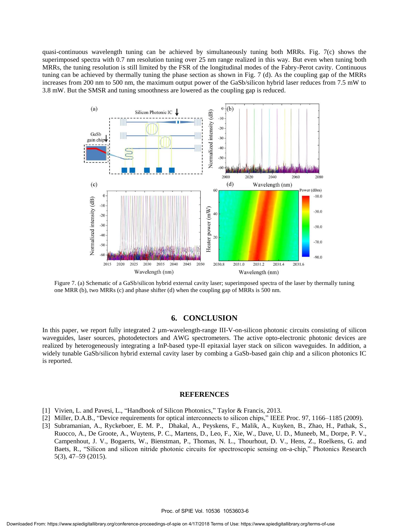quasi-continuous wavelength tuning can be achieved by simultaneously tuning both MRRs. Fig. 7(c) shows the superimposed spectra with 0.7 nm resolution tuning over 25 nm range realized in this way. But even when tuning both MRRs, the tuning resolution is still limited by the FSR of the longitudinal modes of the Fabry-Perot cavity. Continuous tuning can be achieved by thermally tuning the phase section as shown in Fig. 7 (d). As the coupling gap of the MRRs increases from 200 nm to 500 nm, the maximum output power of the GaSb/silicon hybrid laser reduces from 7.5 mW to 3.8 mW. But the SMSR and tuning smoothness are lowered as the coupling gap is reduced.



Figure 7. (a) Schematic of a GaSb/silicon hybrid external cavity laser; superimposed spectra of the laser by thermally tuning one MRR (b), two MRRs (c) and phase shifter (d) when the coupling gap of MRRs is 500 nm.

#### **6. CONCLUSION**

In this paper, we report fully integrated 2  $\mu$ m-wavelength-range III-V-on-silicon photonic circuits consisting of silicon waveguides, laser sources, photodetectors and AWG spectrometers. The active opto-electronic photonic devices are realized by heterogeneously integrating a InP-based type-II epitaxial layer stack on silicon waveguides. In addition, a widely tunable GaSb/silicon hybrid external cavity laser by combing a GaSb-based gain chip and a silicon photonics IC is reported.

#### **REFERENCES**

- [1] Vivien, L. and Pavesi, L., "Handbook of Silicon Photonics," Taylor & Francis, 2013.
- [2] Miller, D.A.B., "Device requirements for optical interconnects to silicon chips," IEEE Proc. 97, 1166–1185 (2009).
- [3] Subramanian, A., Ryckeboer, E. M. P., Dhakal, A., Peyskens, F., Malik, A., Kuyken, B., Zhao, H., Pathak, S., Ruocco, A., De Groote, A., Wuytens, P. C., Martens, D., Leo, F., Xie, W., Dave, U. D., Muneeb, M., Dorpe, P. V., Campenhout, J. V., Bogaerts, W., Bienstman, P., Thomas, N. L., Thourhout, D. V., Hens, Z., Roelkens, G. and Baets, R., "Silicon and silicon nitride photonic circuits for spectroscopic sensing on-a-chip," Photonics Research 5(3), 47–59 (2015).